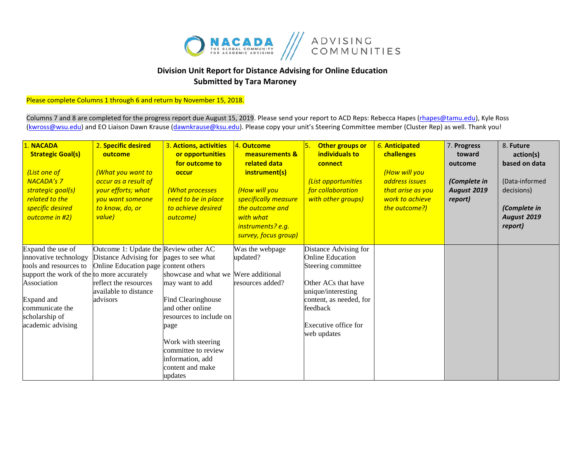

## **Division Unit Report for Distance Advising for Online Education Submitted by Tara Maroney**

Please complete Columns 1 through 6 and return by November 15, 2018.

Columns 7 and 8 are completed for the progress report due August 15, 2019. Please send your report to ACD Reps: Rebecca Hapes (rhapes@tamu.edu), Kyle Ross [\(kwross@wsu.edu\)](mailto:kwross@wsu.edu) and EO Liaison Dawn Krause (dawnkrause@ksu.edu). Please copy your unit's Steering Committee member (Cluster Rep) as well. Thank you!

| 1. NACADA<br><b>Strategic Goal(s)</b><br>(List one of<br><b>NACADA's 7</b><br>strategic goal(s)<br>related to the<br>specific desired<br>outcome in #2)                                                   | 2. Specific desired<br>outcome<br>(What you want to<br>occur as a result of<br>your efforts; what<br>you want someone<br>to know, do, or<br>value)    | 3. Actions, activities<br>or opportunities<br>for outcome to<br>occur<br>(What processes<br>need to be in place<br>to achieve desired<br>outcome)                                                                                                                           | 4. Outcome<br>measurements &<br>related data<br>instrument(s)<br>(How will you<br>specifically measure<br>the outcome and<br>with what<br>instruments? e.g.<br>survey, focus group) | Other groups or<br>individuals to<br>connect<br>(List opportunities<br>for collaboration<br>with other groups)                                                                                    | 6. Anticipated<br>challenges<br>(How will you<br>address issues<br>that arise as you<br>work to achieve<br>the outcome?) | 7. Progress<br>toward<br>outcome<br>(Complete in<br><b>August 2019</b><br>report) | 8. Future<br>action(s)<br>based on data<br>(Data-informed<br>decisions)<br>(Complete in<br><b>August 2019</b><br>report) |
|-----------------------------------------------------------------------------------------------------------------------------------------------------------------------------------------------------------|-------------------------------------------------------------------------------------------------------------------------------------------------------|-----------------------------------------------------------------------------------------------------------------------------------------------------------------------------------------------------------------------------------------------------------------------------|-------------------------------------------------------------------------------------------------------------------------------------------------------------------------------------|---------------------------------------------------------------------------------------------------------------------------------------------------------------------------------------------------|--------------------------------------------------------------------------------------------------------------------------|-----------------------------------------------------------------------------------|--------------------------------------------------------------------------------------------------------------------------|
| Expand the use of<br>innovative technology<br>tools and resources to<br>support the work of the to more accurately<br>Association<br>Expand and<br>communicate the<br>scholarship of<br>academic advising | Outcome 1: Update the Review other AC<br>Distance Advising for<br>Online Education page<br>reflect the resources<br>available to distance<br>advisors | pages to see what<br>content others<br>showcase and what we Were additional<br>may want to add<br>Find Clearinghouse<br>and other online<br>resources to include on<br>page<br>Work with steering<br>committee to review<br>information, add<br>content and make<br>updates | Was the webpage<br>updated?<br>resources added?                                                                                                                                     | Distance Advising for<br><b>Online Education</b><br>Steering committee<br>Other ACs that have<br>unique/interesting<br>content, as needed, for<br>feedback<br>Executive office for<br>web updates |                                                                                                                          |                                                                                   |                                                                                                                          |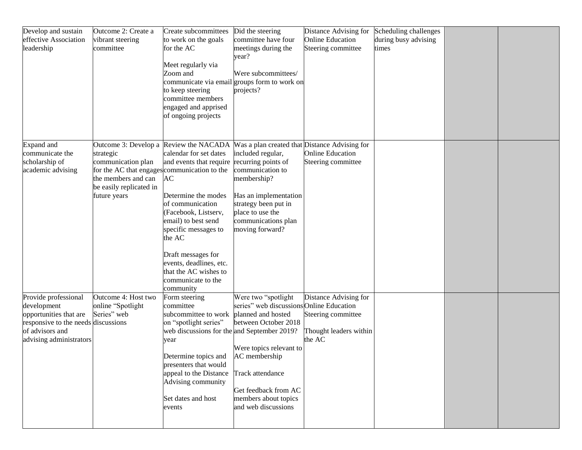| Develop and sustain<br>effective Association<br>leadership                                                                                         | Outcome 2: Create a<br>vibrant steering<br>committee                                                                                              | Create subcommittees<br>to work on the goals<br>for the AC<br>Meet regularly via<br>Zoom and<br>to keep steering<br>committee members<br>engaged and apprised<br>of ongoing projects                                                                                                                                                                                                     | Did the steering<br>committee have four<br>meetings during the<br>year?<br>Were subcommittees/<br>communicate via email groups form to work on<br>projects?                                                                                          | Distance Advising for<br><b>Online Education</b><br>Steering committee          | Scheduling challenges<br>during busy advising<br>times |  |
|----------------------------------------------------------------------------------------------------------------------------------------------------|---------------------------------------------------------------------------------------------------------------------------------------------------|------------------------------------------------------------------------------------------------------------------------------------------------------------------------------------------------------------------------------------------------------------------------------------------------------------------------------------------------------------------------------------------|------------------------------------------------------------------------------------------------------------------------------------------------------------------------------------------------------------------------------------------------------|---------------------------------------------------------------------------------|--------------------------------------------------------|--|
| Expand and<br>communicate the<br>scholarship of<br>academic advising                                                                               | strategic<br>communication plan<br>for the AC that engages communication to the<br>the members and can<br>be easily replicated in<br>future years | Outcome 3: Develop a Review the NACADA Was a plan created that Distance Advising for<br>calendar for set dates<br>and events that require<br>AC<br>Determine the modes<br>of communication<br>(Facebook, Listserv,<br>email) to best send<br>specific messages to<br>the AC<br>Draft messages for<br>events, deadlines, etc.<br>that the AC wishes to<br>communicate to the<br>community | included regular,<br>recurring points of<br>communication to<br>membership?<br>Has an implementation<br>strategy been put in<br>place to use the<br>communications plan<br>moving forward?                                                           | <b>Online Education</b><br>Steering committee                                   |                                                        |  |
| Provide professional<br>development<br>opportunities that are<br>responsive to the needs discussions<br>of advisors and<br>advising administrators | Outcome 4: Host two<br>online "Spotlight<br>Series" web                                                                                           | Form steering<br>committee<br>subcommittee to work<br>on "spotlight series"<br>web discussions for the and September 2019?<br>year<br>Determine topics and<br>presenters that would<br>appeal to the Distance<br>Advising community<br>Set dates and host<br>events                                                                                                                      | Were two "spotlight<br>series" web discussions Online Education<br>planned and hosted<br>between October 2018<br>Were topics relevant to<br>AC membership<br>Track attendance<br>Get feedback from AC<br>members about topics<br>and web discussions | Distance Advising for<br>Steering committee<br>Thought leaders within<br>the AC |                                                        |  |